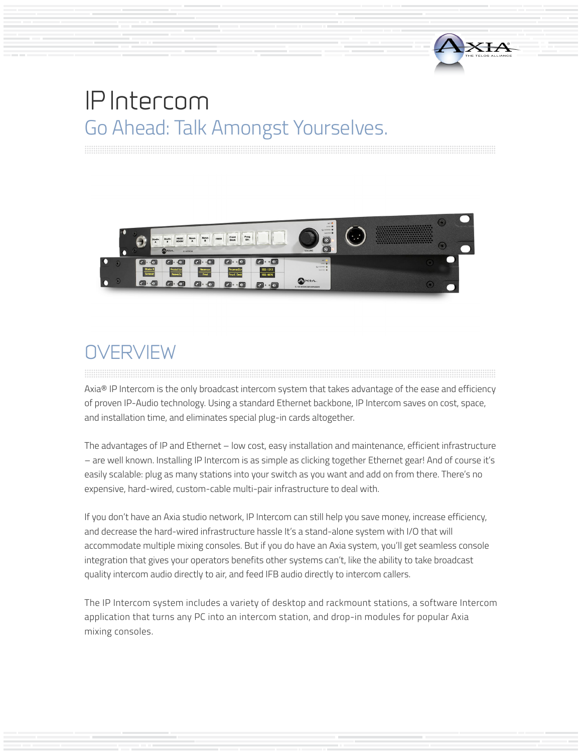



# **OVERVIEW**

Axia® IP Intercom is the only broadcast intercom system that takes advantage of the ease and efficiency of proven IP-Audio technology. Using a standard Ethernet backbone, IP Intercom saves on cost, space, and installation time, and eliminates special plug-in cards altogether.

The advantages of IP and Ethernet – low cost, easy installation and maintenance, efficient infrastructure – are well known. Installing IP Intercom is as simple as clicking together Ethernet gear! And of course it's easily scalable: plug as many stations into your switch as you want and add on from there. There's no expensive, hard-wired, custom-cable multi-pair infrastructure to deal with.

If you don't have an Axia studio network, IP Intercom can still help you save money, increase efficiency, and decrease the hard-wired infrastructure hassle It's a stand-alone system with I/O that will accommodate multiple mixing consoles. But if you do have an Axia system, you'll get seamless console integration that gives your operators benefits other systems can't, like the ability to take broadcast quality intercom audio directly to air, and feed IFB audio directly to intercom callers.

The IP Intercom system includes a variety of desktop and rackmount stations, a software Intercom application that turns any PC into an intercom station, and drop-in modules for popular Axia mixing consoles.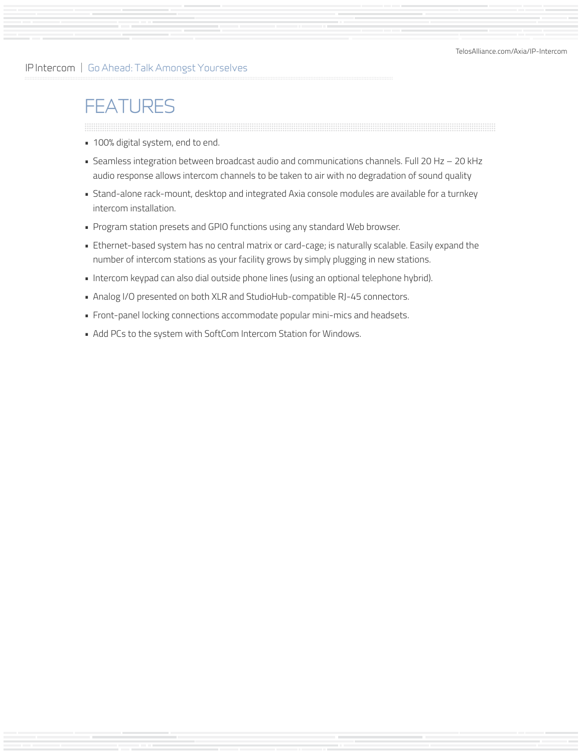# **FEATURES**

- 100% digital system, end to end.
- Seamless integration between broadcast audio and communications channels. Full 20 Hz 20 kHz audio response allows intercom channels to be taken to air with no degradation of sound quality
- Stand-alone rack-mount, desktop and integrated Axia console modules are available for a turnkey intercom installation.
- Program station presets and GPIO functions using any standard Web browser.
- Ethernet-based system has no central matrix or card-cage; is naturally scalable. Easily expand the number of intercom stations as your facility grows by simply plugging in new stations.
- Intercom keypad can also dial outside phone lines (using an optional telephone hybrid).
- Analog I/O presented on both XLR and StudioHub-compatible RJ-45 connectors.
- Front-panel locking connections accommodate popular mini-mics and headsets.
- Add PCs to the system with SoftCom Intercom Station for Windows.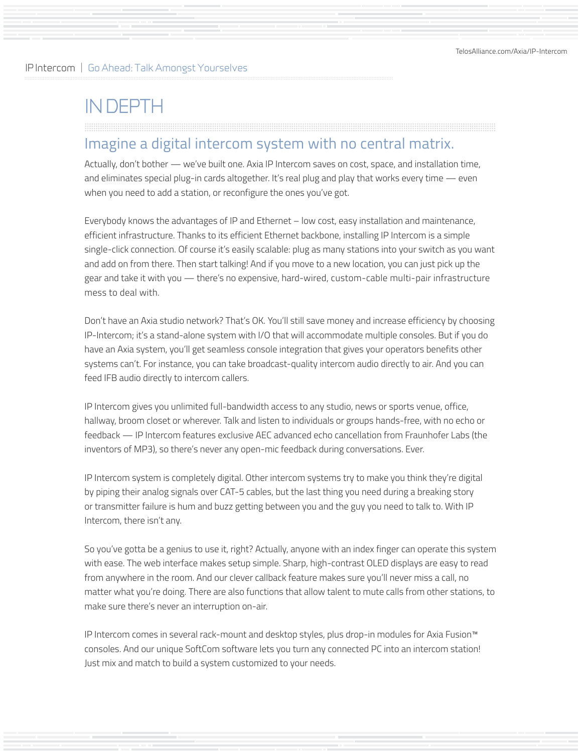# IN DEPTH

# Imagine a digital intercom system with no central matrix.

Actually, don't bother — we've built one. Axia IP Intercom saves on cost, space, and installation time, and eliminates special plug-in cards altogether. It's real plug and play that works every time — even when you need to add a station, or reconfigure the ones you've got.

Everybody knows the advantages of IP and Ethernet – low cost, easy installation and maintenance, efficient infrastructure. Thanks to its efficient Ethernet backbone, installing IP Intercom is a simple single-click connection. Of course it's easily scalable: plug as many stations into your switch as you want and add on from there. Then start talking! And if you move to a new location, you can just pick up the gear and take it with you — there's no expensive, hard-wired, custom-cable multi-pair infrastructure mess to deal with.

Don't have an Axia studio network? That's OK. You'll still save money and increase efficiency by choosing IP-Intercom; it's a stand-alone system with I/O that will accommodate multiple consoles. But if you do have an Axia system, you'll get seamless console integration that gives your operators benefits other systems can't. For instance, you can take broadcast-quality intercom audio directly to air. And you can feed IFB audio directly to intercom callers.

IP Intercom gives you unlimited full-bandwidth access to any studio, news or sports venue, office, hallway, broom closet or wherever. Talk and listen to individuals or groups hands-free, with no echo or feedback — IP Intercom features exclusive AEC advanced echo cancellation from Fraunhofer Labs (the inventors of MP3), so there's never any open-mic feedback during conversations. Ever.

IP Intercom system is completely digital. Other intercom systems try to make you think they're digital by piping their analog signals over CAT-5 cables, but the last thing you need during a breaking story or transmitter failure is hum and buzz getting between you and the guy you need to talk to. With IP Intercom, there isn't any.

So you've gotta be a genius to use it, right? Actually, anyone with an index finger can operate this system with ease. The web interface makes setup simple. Sharp, high-contrast OLED displays are easy to read from anywhere in the room. And our clever callback feature makes sure you'll never miss a call, no matter what you're doing. There are also functions that allow talent to mute calls from other stations, to make sure there's never an interruption on-air.

IP Intercom comes in several rack-mount and desktop styles, plus drop-in modules for Axia Fusion™ consoles. And our unique SoftCom software lets you turn any connected PC into an intercom station! Just mix and match to build a system customized to your needs.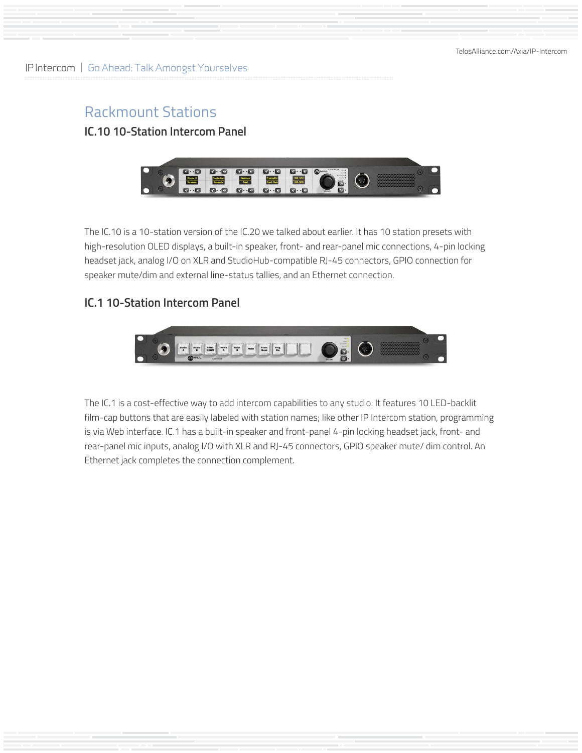# Rackmount Stations **IC.10 10-Station Intercom Panel**



The IC.10 is a 10-station version of the IC.20 we talked about earlier. It has 10 station presets with high-resolution OLED displays, a built-in speaker, front- and rear-panel mic connections, 4-pin locking headset jack, analog I/O on XLR and StudioHub-compatible RJ-45 connectors, GPIO connection for speaker mute/dim and external line-status tallies, and an Ethernet connection.

### **IC.1 10-Station Intercom Panel**



The IC.1 is a cost-effective way to add intercom capabilities to any studio. It features 10 LED-backlit film-cap buttons that are easily labeled with station names; like other IP Intercom station, programming is via Web interface. IC.1 has a built-in speaker and front-panel 4-pin locking headset jack, front- and rear-panel mic inputs, analog I/O with XLR and RJ-45 connectors, GPIO speaker mute/ dim control. An Ethernet jack completes the connection complement.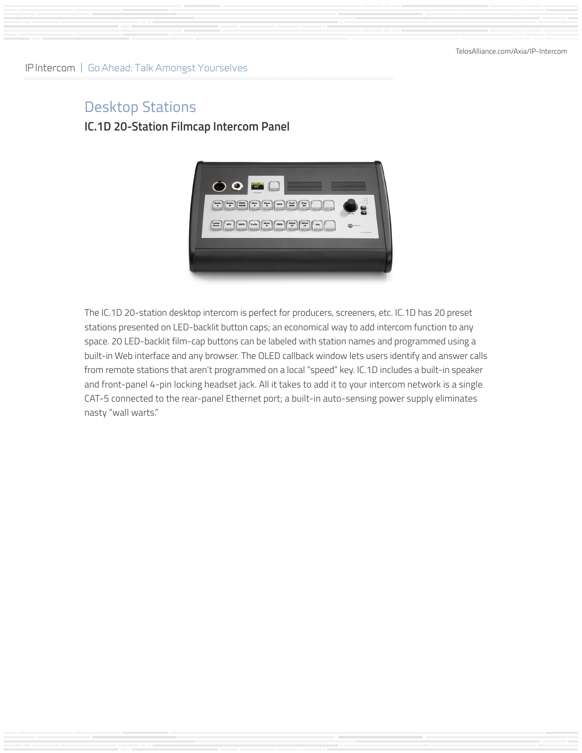## Desktop Stations **IC.1D 20-Station Filmcap Intercom Panel**



The IC.1D 20-station desktop intercom is perfect for producers, screeners, etc. IC.1D has 20 preset stations presented on LED-backlit button caps; an economical way to add intercom function to any space. 20 LED-backlit film-cap buttons can be labeled with station names and programmed using a built-in Web interface and any browser. The OLED callback window lets users identify and answer calls from remote stations that aren't programmed on a local "speed" key. IC.1D includes a built-in speaker and front-panel 4-pin locking headset jack. All it takes to add it to your intercom network is a single CAT-5 connected to the rear-panel Ethernet port; a built-in auto-sensing power supply eliminates nasty "wall warts."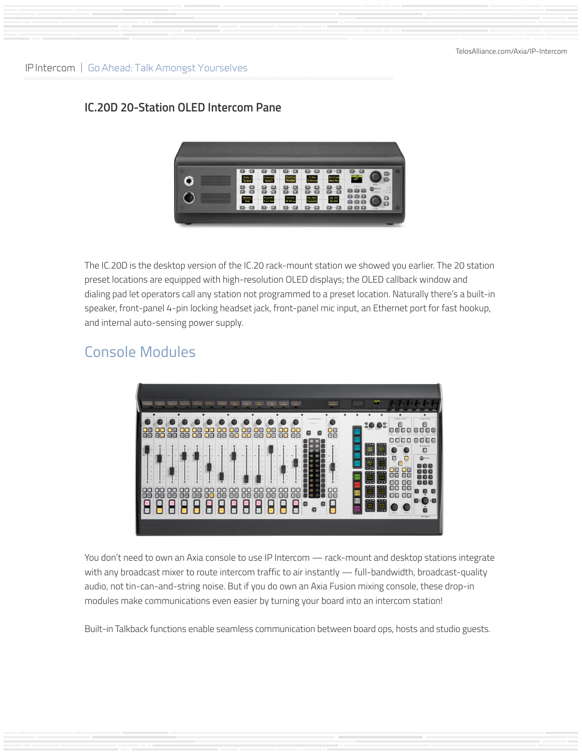### **IC.20D 20-Station OLED Intercom Pane**



The IC.20D is the desktop version of the IC.20 rack-mount station we showed you earlier. The 20 station preset locations are equipped with high-resolution OLED displays; the OLED callback window and dialing pad let operators call any station not programmed to a preset location. Naturally there's a built-in speaker, front-panel 4-pin locking headset jack, front-panel mic input, an Ethernet port for fast hookup, and internal auto-sensing power supply.

# Console Modules



You don't need to own an Axia console to use IP Intercom — rack-mount and desktop stations integrate with any broadcast mixer to route intercom traffic to air instantly — full-bandwidth, broadcast-quality audio, not tin-can-and-string noise. But if you do own an Axia Fusion mixing console, these drop-in modules make communications even easier by turning your board into an intercom station!

Built-in Talkback functions enable seamless communication between board ops, hosts and studio guests.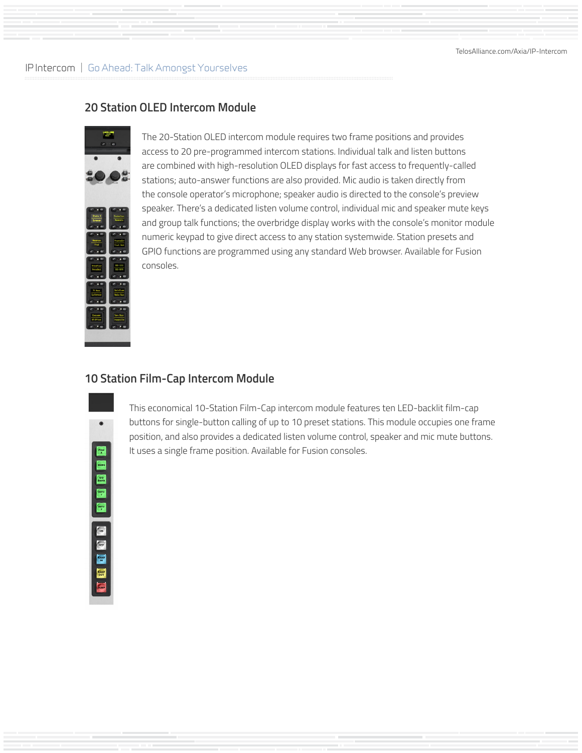[TelosAlliance.com/Axia/IP-Intercom](https://www.telosalliance.com/Axia/IP-Intercom)

#### IP Intercom | Go Ahead: Talk Amongst Yourselves

### **20 Station OLED Intercom Module**



The 20-Station OLED intercom module requires two frame positions and provides access to 20 pre-programmed intercom stations. Individual talk and listen buttons are combined with high-resolution OLED displays for fast access to frequently-called stations; auto-answer functions are also provided. Mic audio is taken directly from the console operator's microphone; speaker audio is directed to the console's preview speaker. There's a dedicated listen volume control, individual mic and speaker mute keys and group talk functions; the overbridge display works with the console's monitor module numeric keypad to give direct access to any station systemwide. Station presets and GPIO functions are programmed using any standard Web browser. Available for Fusion consoles.

#### **10 Station Film-Cap Intercom Module**

| 9                                                       |
|---------------------------------------------------------|
| J<br>rod<br>I<br>I<br>n<br>ì<br>ı<br>ю<br>oth<br>т<br>ł |
| ı<br>I                                                  |
| n<br>ou<br>٦                                            |
|                                                         |

This economical 10-Station Film-Cap intercom module features ten LED-backlit film-cap buttons for single-button calling of up to 10 preset stations. This module occupies one frame position, and also provides a dedicated listen volume control, speaker and mic mute buttons. It uses a single frame position. Available for Fusion consoles.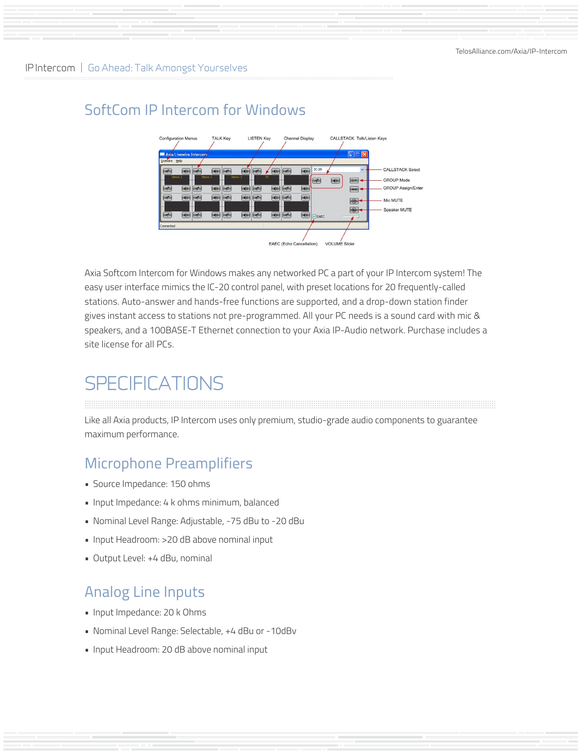# SoftCom IP Intercom for Windows



Axia Softcom Intercom for Windows makes any networked PC a part of your IP Intercom system! The easy user interface mimics the IC-20 control panel, with preset locations for 20 frequently-called stations. Auto-answer and hands-free functions are supported, and a drop-down station finder gives instant access to stations not pre-programmed. All your PC needs is a sound card with mic & speakers, and a 100BASE-T Ethernet connection to your Axia IP-Audio network. Purchase includes a site license for all PCs.

# **SPECIFICATIONS**

Like all Axia products, IP Intercom uses only premium, studio-grade audio components to guarantee maximum performance.

# Microphone Preamplifiers

- Source Impedance: 150 ohms
- Input Impedance: 4 k ohms minimum, balanced
- Nominal Level Range: Adjustable, -75 dBu to -20 dBu
- Input Headroom: >20 dB above nominal input
- Output Level: +4 dBu, nominal

# Analog Line Inputs

- Input Impedance: 20 k Ohms
- Nominal Level Range: Selectable, +4 dBu or -10dBv
- Input Headroom: 20 dB above nominal input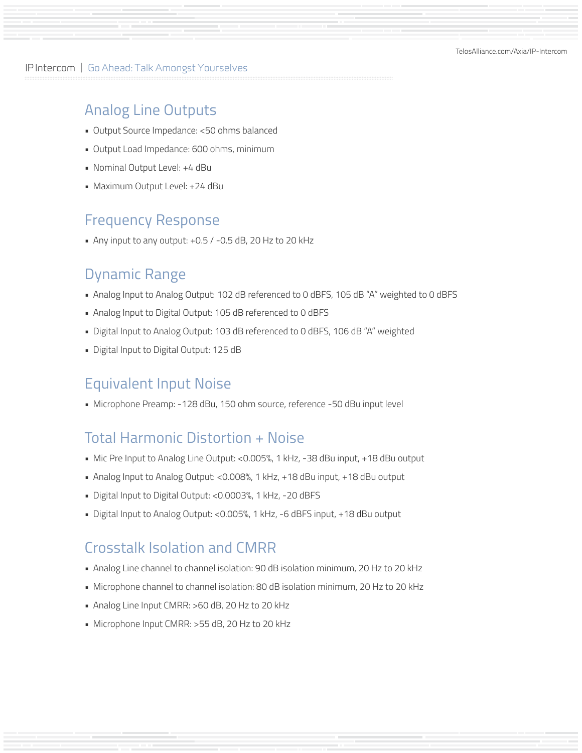[TelosAlliance.com/Axia/IP-Intercom](https://www.telosalliance.com/Axia/IP-Intercom)

IP Intercom | Go Ahead: Talk Amongst Yourselves

### Analog Line Outputs

- Output Source Impedance: <50 ohms balanced
- Output Load Impedance: 600 ohms, minimum
- Nominal Output Level: +4 dBu
- Maximum Output Level: +24 dBu

### Frequency Response

• Any input to any output: +0.5 / -0.5 dB, 20 Hz to 20 kHz

### Dynamic Range

- Analog Input to Analog Output: 102 dB referenced to 0 dBFS, 105 dB "A" weighted to 0 dBFS
- Analog Input to Digital Output: 105 dB referenced to 0 dBFS
- Digital Input to Analog Output: 103 dB referenced to 0 dBFS, 106 dB "A" weighted
- Digital Input to Digital Output: 125 dB

## Equivalent Input Noise

• Microphone Preamp: -128 dBu, 150 ohm source, reference -50 dBu input level

### Total Harmonic Distortion + Noise

- Mic Pre Input to Analog Line Output: <0.005%, 1 kHz, -38 dBu input, +18 dBu output
- Analog Input to Analog Output: <0.008%, 1 kHz, +18 dBu input, +18 dBu output
- Digital Input to Digital Output: <0.0003%, 1 kHz, -20 dBFS
- Digital Input to Analog Output: <0.005%, 1 kHz, -6 dBFS input, +18 dBu output

### Crosstalk Isolation and CMRR

- Analog Line channel to channel isolation: 90 dB isolation minimum, 20 Hz to 20 kHz
- Microphone channel to channel isolation: 80 dB isolation minimum, 20 Hz to 20 kHz
- Analog Line Input CMRR: >60 dB, 20 Hz to 20 kHz
- Microphone Input CMRR: >55 dB, 20 Hz to 20 kHz